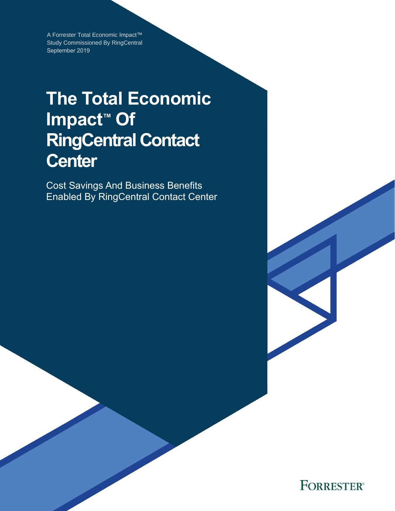A Forrester Total Economic Impact™ Study Commissioned By RingCentral September 2019

# **The Total Economic Impact™ Of RingCentral Contact Center**

Cost Savings And Business Benefits Enabled By RingCentral Contact Center

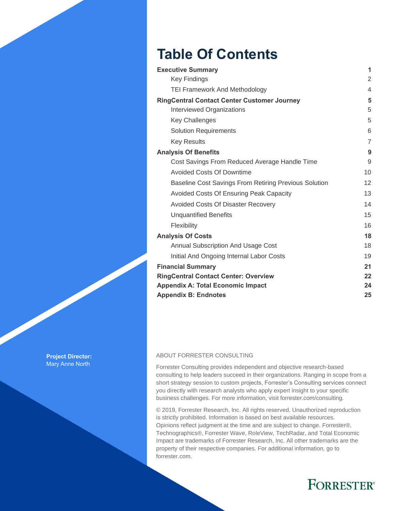## **Table Of Contents**

| <b>Executive Summary</b>                              | 1              |
|-------------------------------------------------------|----------------|
| <b>Key Findings</b>                                   | 2              |
| <b>TEI Framework And Methodology</b>                  | $\overline{4}$ |
| <b>RingCentral Contact Center Customer Journey</b>    | 5              |
| Interviewed Organizations                             | 5              |
| <b>Key Challenges</b>                                 | 5              |
| <b>Solution Requirements</b>                          | 6              |
| <b>Key Results</b>                                    | $\overline{7}$ |
| <b>Analysis Of Benefits</b>                           | 9              |
| Cost Savings From Reduced Average Handle Time         | 9              |
| <b>Avoided Costs Of Downtime</b>                      | 10             |
| Baseline Cost Savings From Retiring Previous Solution | 12             |
| Avoided Costs Of Ensuring Peak Capacity               | 13             |
| <b>Avoided Costs Of Disaster Recovery</b>             | 14             |
| <b>Unquantified Benefits</b>                          | 15             |
| Flexibility                                           | 16             |
| <b>Analysis Of Costs</b>                              | 18             |
| <b>Annual Subscription And Usage Cost</b>             | 18             |
| Initial And Ongoing Internal Labor Costs              | 19             |
| <b>Financial Summary</b>                              | 21             |
| <b>RingCentral Contact Center: Overview</b>           | 22             |
| <b>Appendix A: Total Economic Impact</b>              | 24             |
| <b>Appendix B: Endnotes</b>                           | 25             |

#### ABOUT FORRESTER CONSULTING

Forrester Consulting provides independent and objective research-based consulting to help leaders succeed in their organizations. Ranging in scope from a short strategy session to custom projects, Forrester's Consulting services connect you directly with research analysts who apply expert insight to your specific business challenges. For more information, visit forrester.com/consulting.

© 2019, Forrester Research, Inc. All rights reserved. Unauthorized reproduction is strictly prohibited. Information is based on best available resources. Opinions reflect judgment at the time and are subject to change. Forrester®, Technographics®, Forrester Wave, RoleView, TechRadar, and Total Economic Impact are trademarks of Forrester Research, Inc. All other trademarks are the property of their respective companies. For additional information, go to forrester.com.

## **FORRESTER®**

**Project Director:** Mary Anne North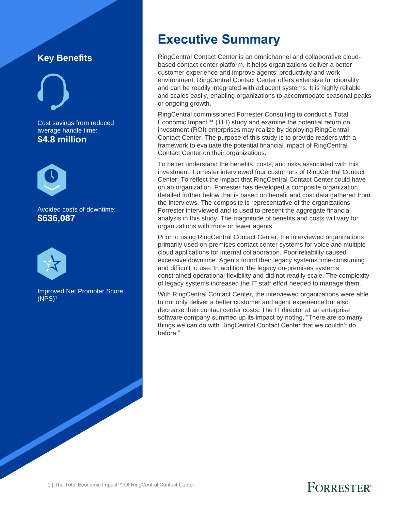### **Key Benefits**





Avoided costs of downtime: **\$636,087**



Improved Net Promoter Score  $(NPS)^1$ 

## **Executive Summary**

RingCentral Contact Center is an omnichannel and collaborative cloudbased contact center platform. It helps organizations deliver a better customer experience and improve agents' productivity and work environment. RingCentral Contact Center offers extensive functionality and can be readily integrated with adjacent systems. It is highly reliable and scales easily, enabling organizations to accommodate seasonal peaks or ongoing growth.

RingCentral commissioned Forrester Consulting to conduct a Total Economic Impact™ (TEI) study and examine the potential return on investment (ROI) enterprises may realize by deploying RingCentral Contact Center. The purpose of this study is to provide readers with a framework to evaluate the potential financial impact of RingCentral Contact Center on their organizations.

To better understand the benefits, costs, and risks associated with this investment, Forrester interviewed four customers of RingCentral Contact Center. To reflect the impact that RingCentral Contact Center could have on an organization, Forrester has developed a composite organization detailed further below that is based on benefit and cost data gathered from the interviews. The composite is representative of the organizations Forrester interviewed and is used to present the aggregate financial analysis in this study. The magnitude of benefits and costs will vary for organizations with more or fewer agents.

Prior to using RingCentral Contact Center, the interviewed organizations primarily used on-premises contact center systems for voice and multiple cloud applications for internal collaboration. Poor reliability caused excessive downtime. Agents found their legacy systems time-consuming and difficult to use. In addition, the legacy on-premises systems constrained operational flexibility and did not readily scale. The complexity of legacy systems increased the IT staff effort needed to manage them.

With RingCentral Contact Center, the interviewed organizations were able to not only deliver a better customer and agent experience but also decrease their contact center costs. The IT director at an enterprise software company summed up its impact by noting, "There are so many things we can do with RingCentral Contact Center that we couldn't do before."

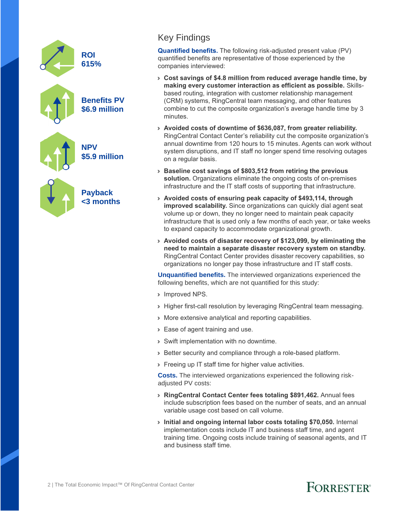

### Key Findings

**Quantified benefits.** The following risk-adjusted present value (PV) quantified benefits are representative of those experienced by the companies interviewed:

- › **Cost savings of \$4.8 million from reduced average handle time, by making every customer interaction as efficient as possible.** Skillsbased routing, integration with customer relationship management (CRM) systems, RingCentral team messaging, and other features combine to cut the composite organization's average handle time by 3 minutes.
- › **Avoided costs of downtime of \$636,087, from greater reliability.** RingCentral Contact Center's reliability cut the composite organization's annual downtime from 120 hours to 15 minutes. Agents can work without system disruptions, and IT staff no longer spend time resolving outages on a regular basis.
- › **Baseline cost savings of \$803,512 from retiring the previous solution.** Organizations eliminate the ongoing costs of on-premises infrastructure and the IT staff costs of supporting that infrastructure.
- › **Avoided costs of ensuring peak capacity of \$493,114, through improved scalability.** Since organizations can quickly dial agent seat volume up or down, they no longer need to maintain peak capacity infrastructure that is used only a few months of each year, or take weeks to expand capacity to accommodate organizational growth.
- › **Avoided costs of disaster recovery of \$123,099, by eliminating the need to maintain a separate disaster recovery system on standby.** RingCentral Contact Center provides disaster recovery capabilities, so organizations no longer pay those infrastructure and IT staff costs.

**Unquantified benefits.** The interviewed organizations experienced the following benefits, which are not quantified for this study:

- › Improved NPS.
- › Higher first-call resolution by leveraging RingCentral team messaging.
- › More extensive analytical and reporting capabilities.
- › Ease of agent training and use.
- › Swift implementation with no downtime.
- › Better security and compliance through a role-based platform.
- › Freeing up IT staff time for higher value activities.

**Costs.** The interviewed organizations experienced the following riskadjusted PV costs:

- › **RingCentral Contact Center fees totaling \$891,462.** Annual fees include subscription fees based on the number of seats, and an annual variable usage cost based on call volume.
- › **Initial and ongoing internal labor costs totaling \$70,050.** Internal implementation costs include IT and business staff time, and agent training time. Ongoing costs include training of seasonal agents, and IT and business staff time.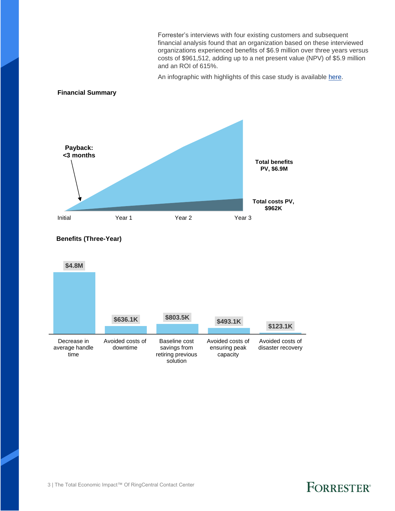Forrester's interviews with four existing customers and subsequent financial analysis found that an organization based on these interviewed organizations experienced benefits of \$6.9 million over three years versus costs of \$961,512, adding up to a net present value (NPV) of \$5.9 million and an ROI of 615%.

An infographic with highlights of this case study is available [here.](https://netstorage.ringcentral.com/infographics/forrester_tei_contact_center.pdf)

#### **Financial Summary**



**Benefits (Three-Year)**

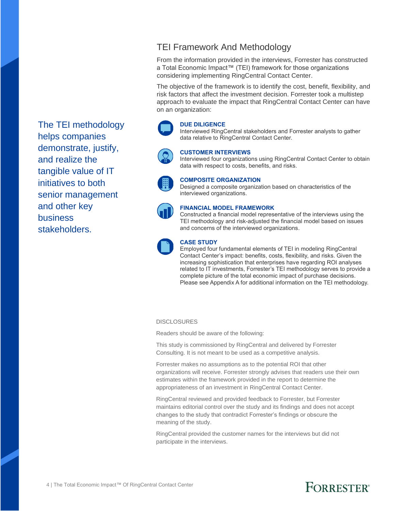The TEI methodology helps companies demonstrate, justify, and realize the tangible value of IT initiatives to both senior management and other key business stakeholders.

### TEI Framework And Methodology

From the information provided in the interviews, Forrester has constructed a Total Economic Impact™ (TEI) framework for those organizations considering implementing RingCentral Contact Center.

The objective of the framework is to identify the cost, benefit, flexibility, and risk factors that affect the investment decision. Forrester took a multistep approach to evaluate the impact that RingCentral Contact Center can have on an organization:

### **DUE DILIGENCE**

Interviewed RingCentral stakeholders and Forrester analysts to gather data relative to RingCentral Contact Center.



#### **CUSTOMER INTERVIEWS**

Interviewed four organizations using RingCentral Contact Center to obtain data with respect to costs, benefits, and risks.



#### **COMPOSITE ORGANIZATION**

Designed a composite organization based on characteristics of the interviewed organizations.



#### **FINANCIAL MODEL FRAMEWORK**

Constructed a financial model representative of the interviews using the TEI methodology and risk-adjusted the financial model based on issues and concerns of the interviewed organizations.



#### **CASE STUDY**

Employed four fundamental elements of TEI in modeling RingCentral Contact Center's impact: benefits, costs, flexibility, and risks. Given the increasing sophistication that enterprises have regarding ROI analyses related to IT investments, Forrester's TEI methodology serves to provide a complete picture of the total economic impact of purchase decisions. Please see Appendix A for additional information on the TEI methodology.

#### **DISCLOSURES**

Readers should be aware of the following:

This study is commissioned by RingCentral and delivered by Forrester Consulting. It is not meant to be used as a competitive analysis.

Forrester makes no assumptions as to the potential ROI that other organizations will receive. Forrester strongly advises that readers use their own estimates within the framework provided in the report to determine the appropriateness of an investment in RingCentral Contact Center.

RingCentral reviewed and provided feedback to Forrester, but Forrester maintains editorial control over the study and its findings and does not accept changes to the study that contradict Forrester's findings or obscure the meaning of the study.

RingCentral provided the customer names for the interviews but did not participate in the interviews.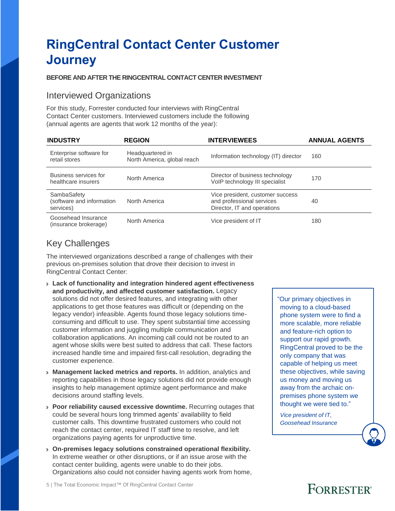## **RingCentral Contact Center Customer Journey**

#### **BEFORE AND AFTER THE RINGCENTRAL CONTACT CENTER INVESTMENT**

### Interviewed Organizations

For this study, Forrester conducted four interviews with RingCentral Contact Center customers. Interviewed customers include the following (annual agents are agents that work 12 months of the year):

| <b>INDUSTRY</b><br><b>REGION</b><br><b>INTERVIEWEES</b> |                                                 |                                                                                              | <b>ANNUAL AGENTS</b> |
|---------------------------------------------------------|-------------------------------------------------|----------------------------------------------------------------------------------------------|----------------------|
| Enterprise software for<br>retail stores                | Headquartered in<br>North America, global reach | Information technology (IT) director                                                         | 160                  |
| Business services for<br>healthcare insurers            | North America                                   | Director of business technology<br>VoIP technology III specialist                            | 170                  |
| SambaSafety<br>(software and information<br>services)   | North America                                   | Vice president, customer success<br>and professional services<br>Director, IT and operations | 40                   |
| Goosehead Insurance<br>(insurance brokerage)            | North America                                   | Vice president of IT                                                                         | 180                  |

### Key Challenges

The interviewed organizations described a range of challenges with their previous on-premises solution that drove their decision to invest in RingCentral Contact Center:

- › **Lack of functionality and integration hindered agent effectiveness and productivity, and affected customer satisfaction.** Legacy solutions did not offer desired features, and integrating with other applications to get those features was difficult or (depending on the legacy vendor) infeasible. Agents found those legacy solutions timeconsuming and difficult to use. They spent substantial time accessing customer information and juggling multiple communication and collaboration applications. An incoming call could not be routed to an agent whose skills were best suited to address that call. These factors increased handle time and impaired first-call resolution, degrading the customer experience.
- › **Management lacked metrics and reports.** In addition, analytics and reporting capabilities in those legacy solutions did not provide enough insights to help management optimize agent performance and make decisions around staffing levels.
- › **Poor reliability caused excessive downtime.** Recurring outages that could be several hours long trimmed agents' availability to field customer calls. This downtime frustrated customers who could not reach the contact center, required IT staff time to resolve, and left organizations paying agents for unproductive time.
- › **On-premises legacy solutions constrained operational flexibility.** In extreme weather or other disruptions, or if an issue arose with the contact center building, agents were unable to do their jobs. Organizations also could not consider having agents work from home,

"Our primary objectives in moving to a cloud-based phone system were to find a more scalable, more reliable and feature-rich option to support our rapid growth. RingCentral proved to be the only company that was capable of helping us meet these objectives, while saving us money and moving us away from the archaic onpremises phone system we thought we were tied to."

*Vice president of IT, Goosehead Insurance*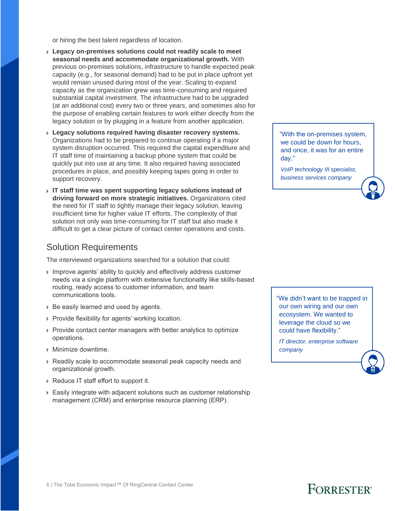or hiring the best talent regardless of location.

- › **Legacy on-premises solutions could not readily scale to meet seasonal needs and accommodate organizational growth.** With previous on-premises solutions, infrastructure to handle expected peak capacity (e.g., for seasonal demand) had to be put in place upfront yet would remain unused during most of the year. Scaling to expand capacity as the organization grew was time-consuming and required substantial capital investment. The infrastructure had to be upgraded (at an additional cost) every two or three years, and sometimes also for the purpose of enabling certain features to work either directly from the legacy solution or by plugging in a feature from another application.
- › **Legacy solutions required having disaster recovery systems.**  Organizations had to be prepared to continue operating if a major system disruption occurred. This required the capital expenditure and IT staff time of maintaining a backup phone system that could be quickly put into use at any time. It also required having associated procedures in place, and possibly keeping tapes going in order to support recovery.
- › **IT staff time was spent supporting legacy solutions instead of driving forward on more strategic initiatives.** Organizations cited the need for IT staff to tightly manage their legacy solution, leaving insufficient time for higher value IT efforts. The complexity of that solution not only was time-consuming for IT staff but also made it difficult to get a clear picture of contact center operations and costs.

### Solution Requirements

The interviewed organizations searched for a solution that could:

- › Improve agents' ability to quickly and effectively address customer needs via a single platform with extensive functionality like skills-based routing, ready access to customer information, and team communications tools.
- › Be easily learned and used by agents.
- › Provide flexibility for agents' working location.
- › Provide contact center managers with better analytics to optimize operations.
- › Minimize downtime.
- › Readily scale to accommodate seasonal peak capacity needs and organizational growth.
- › Reduce IT staff effort to support it.
- › Easily integrate with adjacent solutions such as customer relationship management (CRM) and enterprise resource planning (ERP).

"With the on-premises system, we could be down for hours, and once, it was for an entire day."

*VoIP technology III specialist, business services company* 

"We didn't want to be trapped in our own wiring and our own ecosystem. We wanted to leverage the cloud so we could have flexibility."

*IT director, enterprise software company*

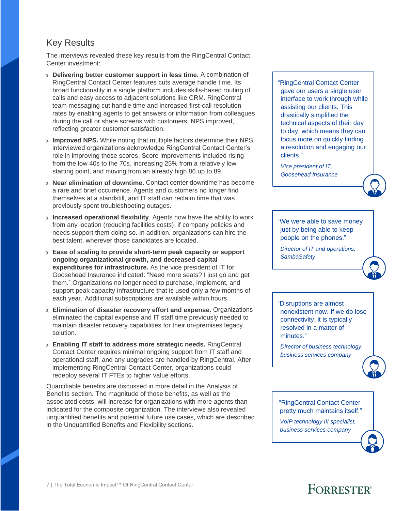### Key Results

The interviews revealed these key results from the RingCentral Contact Center investment:

- › **Delivering better customer support in less time.** A combination of RingCentral Contact Center features cuts average handle time. Its broad functionality in a single platform includes skills-based routing of calls and easy access to adjacent solutions like CRM. RingCentral team messaging cut handle time and increased first-call resolution rates by enabling agents to get answers or information from colleagues during the call or share screens with customers. NPS improved, reflecting greater customer satisfaction.
- › **Improved NPS.** While noting that multiple factors determine their NPS, interviewed organizations acknowledge RingCentral Contact Center's role in improving those scores. Score improvements included rising from the low 40s to the 70s, increasing 25% from a relatively low starting point, and moving from an already high 86 up to 89.
- › **Near elimination of downtime.** Contact center downtime has become a rare and brief occurrence. Agents and customers no longer find themselves at a standstill, and IT staff can reclaim time that was previously spent troubleshooting outages.
- › **Increased operational flexibility**. Agents now have the ability to work from any location (reducing facilities costs), if company policies and needs support them doing so. In addition, organizations can hire the best talent, wherever those candidates are located.
- › **Ease of scaling to provide short-term peak capacity or support ongoing organizational growth, and decreased capital expenditures for infrastructure.** As the vice president of IT for Goosehead Insurance indicated: "Need more seats? I just go and get them." Organizations no longer need to purchase, implement, and support peak capacity infrastructure that is used only a few months of each year. Additional subscriptions are available within hours.
- › **Elimination of disaster recovery effort and expense.** Organizations eliminated the capital expense and IT staff time previously needed to maintain disaster recovery capabilities for their on-premises legacy solution.
- › **Enabling IT staff to address more strategic needs.** RingCentral Contact Center requires minimal ongoing support from IT staff and operational staff, and any upgrades are handled by RingCentral. After implementing RingCentral Contact Center, organizations could redeploy several IT FTEs to higher value efforts.

Quantifiable benefits are discussed in more detail in the Analysis of Benefits section. The magnitude of those benefits, as well as the associated costs, will increase for organizations with more agents than indicated for the composite organization. The interviews also revealed unquantified benefits and potential future use cases, which are described in the Unquantified Benefits and Flexibility sections.

"RingCentral Contact Center gave our users a single user interface to work through while assisting our clients. This drastically simplified the technical aspects of their day to day, which means they can focus more on quickly finding a resolution and engaging our clients."

*Vice president of IT, Goosehead Insurance* 

"We were able to save money just by being able to keep people on the phones."

*Director of IT and operations, SambaSafety*



*Director of business technology, business services company*

"RingCentral Contact Center pretty much maintains itself."

*VoIP technology III specialist, business services company*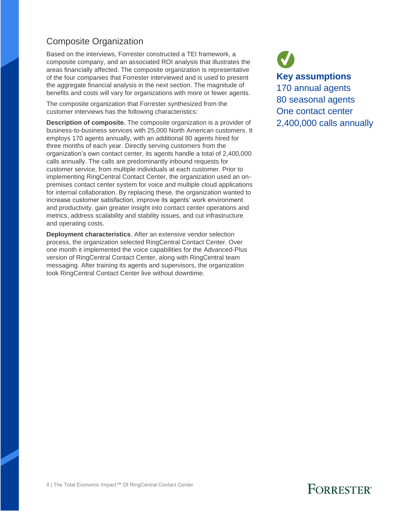### Composite Organization

Based on the interviews, Forrester constructed a TEI framework, a composite company, and an associated ROI analysis that illustrates the areas financially affected. The composite organization is representative of the four companies that Forrester interviewed and is used to present the aggregate financial analysis in the next section. The magnitude of benefits and costs will vary for organizations with more or fewer agents.

The composite organization that Forrester synthesized from the customer interviews has the following characteristics:

**Description of composite.** The composite organization is a provider of business-to-business services with 25,000 North American customers. It employs 170 agents annually, with an additional 80 agents hired for three months of each year. Directly serving customers from the organization's own contact center, its agents handle a total of 2,400,000 calls annually. The calls are predominantly inbound requests for customer service, from multiple individuals at each customer. Prior to implementing RingCentral Contact Center, the organization used an onpremises contact center system for voice and multiple cloud applications for internal collaboration. By replacing these, the organization wanted to increase customer satisfaction, improve its agents' work environment and productivity, gain greater insight into contact center operations and metrics, address scalability and stability issues, and cut infrastructure and operating costs.

**Deployment characteristics**. After an extensive vendor selection process, the organization selected RingCentral Contact Center. Over one month it implemented the voice capabilities for the Advanced-Plus version of RingCentral Contact Center, along with RingCentral team messaging. After training its agents and supervisors, the organization took RingCentral Contact Center live without downtime.

**Key assumptions** 170 annual agents 80 seasonal agents One contact center 2,400,000 calls annually

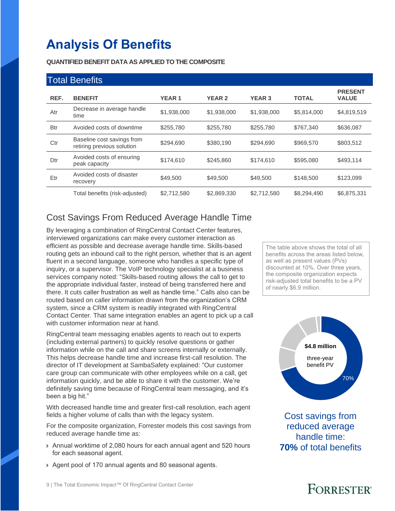## **Analysis Of Benefits**

#### **QUANTIFIED BENEFIT DATA AS APPLIED TO THE COMPOSITE**

|            | <b>Total Benefits</b>                                    |              |               |               |              |                                |  |  |  |
|------------|----------------------------------------------------------|--------------|---------------|---------------|--------------|--------------------------------|--|--|--|
| REF.       | <b>BENEFIT</b>                                           | <b>YEAR1</b> | <b>YEAR 2</b> | <b>YEAR 3</b> | <b>TOTAL</b> | <b>PRESENT</b><br><b>VALUE</b> |  |  |  |
| Atr        | Decrease in average handle<br>time                       | \$1,938,000  | \$1,938,000   | \$1,938,000   | \$5,814,000  | \$4,819,519                    |  |  |  |
| <b>Btr</b> | Avoided costs of downtime                                | \$255.780    | \$255,780     | \$255,780     | \$767,340    | \$636,087                      |  |  |  |
| Ctr        | Baseline cost savings from<br>retiring previous solution | \$294,690    | \$380,190     | \$294,690     | \$969,570    | \$803,512                      |  |  |  |
| Dtr        | Avoided costs of ensuring<br>peak capacity               | \$174,610    | \$245,860     | \$174,610     | \$595,080    | \$493,114                      |  |  |  |
| Etr        | Avoided costs of disaster<br>recovery                    | \$49,500     | \$49,500      | \$49,500      | \$148,500    | \$123,099                      |  |  |  |
|            | Total benefits (risk-adjusted)                           | \$2,712,580  | \$2,869,330   | \$2,712,580   | \$8,294,490  | \$6,875,331                    |  |  |  |

### Cost Savings From Reduced Average Handle Time

By leveraging a combination of RingCentral Contact Center features, interviewed organizations can make every customer interaction as efficient as possible and decrease average handle time. Skills-based routing gets an inbound call to the right person, whether that is an agent fluent in a second language, someone who handles a specific type of inquiry, or a supervisor. The VoIP technology specialist at a business services company noted: "Skills-based routing allows the call to get to the appropriate individual faster, instead of being transferred here and there. It cuts caller frustration as well as handle time." Calls also can be routed based on caller information drawn from the organization's CRM system, since a CRM system is readily integrated with RingCentral Contact Center. That same integration enables an agent to pick up a call with customer information near at hand.

RingCentral team messaging enables agents to reach out to experts (including external partners) to quickly resolve questions or gather information while on the call and share screens internally or externally. This helps decrease handle time and increase first-call resolution. The director of IT development at SambaSafety explained: "Our customer care group can communicate with other employees while on a call, get information quickly, and be able to share it with the customer. We're definitely saving time because of RingCentral team messaging, and it's been a big hit."

With decreased handle time and greater first-call resolution, each agent fields a higher volume of calls than with the legacy system.

For the composite organization, Forrester models this cost savings from reduced average handle time as:

- › Annual worktime of 2,080 hours for each annual agent and 520 hours for each seasonal agent.
- › Agent pool of 170 annual agents and 80 seasonal agents.

The table above shows the total of all benefits across the areas listed below, as well as present values (PVs) discounted at 10%. Over three years, the composite organization expects risk-adjusted total benefits to be a PV of nearly \$6.9 million.



Cost savings from reduced average handle time: **70%** of total benefits

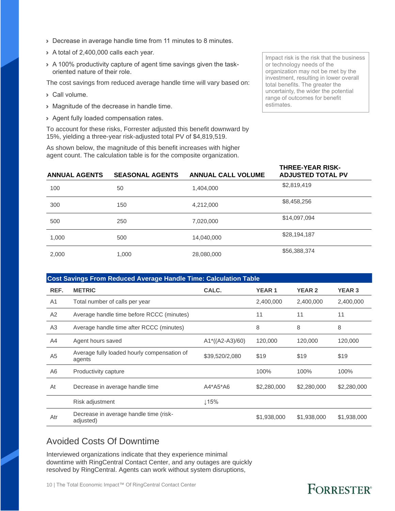- › Decrease in average handle time from 11 minutes to 8 minutes.
- › A total of 2,400,000 calls each year.
- › A 100% productivity capture of agent time savings given the taskoriented nature of their role.

The cost savings from reduced average handle time will vary based on:

- › Call volume.
- › Magnitude of the decrease in handle time.
- › Agent fully loaded compensation rates.

To account for these risks, Forrester adjusted this benefit downward by 15%, yielding a three-year risk-adjusted total PV of \$4,819,519.

As shown below, the magnitude of this benefit increases with higher agent count. The calculation table is for the composite organization.

Impact risk is the risk that the business or technology needs of the organization may not be met by the investment, resulting in lower overall total benefits. The greater the uncertainty, the wider the potential range of outcomes for benefit estimates.

| <b>ANNUAL AGENTS</b> | <b>SEASONAL AGENTS</b> | <b>ANNUAL CALL VOLUME</b> | <b>THREE-YEAR RISK-</b><br><b>ADJUSTED TOTAL PV</b> |
|----------------------|------------------------|---------------------------|-----------------------------------------------------|
| 100                  | 50                     | 1,404,000                 | \$2,819,419                                         |
| 300                  | 150                    | 4,212,000                 | \$8,458,256                                         |
| 500                  | 250                    | 7,020,000                 | \$14,097,094                                        |
| 1,000                | 500                    | 14,040,000                | \$28,194,187                                        |
| 2,000                | 1,000                  | 28,080,000                | \$56,388,374                                        |

| <b>Cost Savings From Reduced Average Handle Time: Calculation Table</b> |                                                       |                    |              |               |               |  |  |
|-------------------------------------------------------------------------|-------------------------------------------------------|--------------------|--------------|---------------|---------------|--|--|
| REF.                                                                    | <b>METRIC</b>                                         | CALC.              | <b>YEAR1</b> | <b>YEAR 2</b> | <b>YEAR 3</b> |  |  |
| A <sub>1</sub>                                                          | Total number of calls per year                        |                    | 2,400,000    | 2,400,000     | 2,400,000     |  |  |
| A2                                                                      | Average handle time before RCCC (minutes)             |                    | 11           | 11            | 11            |  |  |
| A3                                                                      | Average handle time after RCCC (minutes)              |                    | 8            | 8             | 8             |  |  |
| A4                                                                      | Agent hours saved                                     | $A1^*((A2-A3)/60)$ | 120,000      | 120,000       | 120,000       |  |  |
| A5                                                                      | Average fully loaded hourly compensation of<br>agents | \$39,520/2,080     | \$19         | \$19          | \$19          |  |  |
| A6                                                                      | Productivity capture                                  |                    | 100%         | 100%          | 100%          |  |  |
| At                                                                      | Decrease in average handle time                       | A4*A5*A6           | \$2,280,000  | \$2,280,000   | \$2,280,000   |  |  |
|                                                                         | Risk adjustment                                       | $\downarrow$ 15%   |              |               |               |  |  |
| Atr                                                                     | Decrease in average handle time (risk-<br>adjusted)   |                    | \$1,938,000  | \$1,938,000   | \$1,938,000   |  |  |

### Avoided Costs Of Downtime

Interviewed organizations indicate that they experience minimal downtime with RingCentral Contact Center, and any outages are quickly resolved by RingCentral. Agents can work without system disruptions,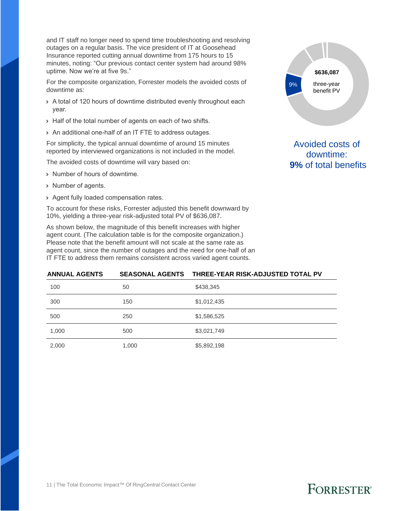and IT staff no longer need to spend time troubleshooting and resolving outages on a regular basis. The vice president of IT at Goosehead Insurance reported cutting annual downtime from 175 hours to 15 minutes, noting: "Our previous contact center system had around 98% uptime. Now we're at five 9s."

For the composite organization, Forrester models the avoided costs of downtime as:

- › A total of 120 hours of downtime distributed evenly throughout each year.
- › Half of the total number of agents on each of two shifts.
- › An additional one-half of an IT FTE to address outages.

For simplicity, the typical annual downtime of around 15 minutes reported by interviewed organizations is not included in the model.

The avoided costs of downtime will vary based on:

- › Number of hours of downtime.
- › Number of agents.
- › Agent fully loaded compensation rates.

To account for these risks, Forrester adjusted this benefit downward by 10%, yielding a three-year risk-adjusted total PV of \$636,087.

As shown below, the magnitude of this benefit increases with higher agent count. (The calculation table is for the composite organization.) Please note that the benefit amount will not scale at the same rate as agent count, since the number of outages and the need for one-half of an IT FTE to address them remains consistent across varied agent counts.

|    | \$636,087                |  |
|----|--------------------------|--|
| 9% | three-year<br>benefit PV |  |
|    |                          |  |
|    |                          |  |

### Avoided costs of downtime: **9%** of total benefits

| <b>ANNUAL AGENTS</b> |       | SEASONAL AGENTS THREE-YEAR RISK-ADJUSTED TOTAL PV |
|----------------------|-------|---------------------------------------------------|
| 100                  | 50    | \$438,345                                         |
| 300                  | 150   | \$1,012,435                                       |
| 500                  | 250   | \$1,586,525                                       |
| 1,000                | 500   | \$3,021,749                                       |
| 2,000                | 1,000 | \$5,892,198                                       |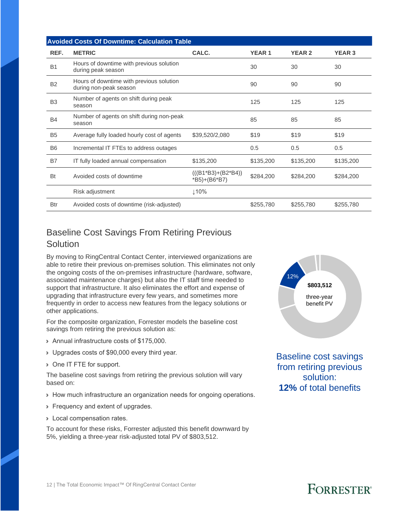| <b>Avoided Costs Of Downtime: Calculation Table</b> |                                                                    |                                      |              |               |               |  |  |
|-----------------------------------------------------|--------------------------------------------------------------------|--------------------------------------|--------------|---------------|---------------|--|--|
| REF.                                                | <b>METRIC</b>                                                      | CALC.                                | <b>YEAR1</b> | <b>YEAR 2</b> | <b>YEAR 3</b> |  |  |
| <b>B1</b>                                           | Hours of downtime with previous solution<br>during peak season     |                                      | 30           | 30            | 30            |  |  |
| <b>B2</b>                                           | Hours of downtime with previous solution<br>during non-peak season |                                      | 90           | 90            | 90            |  |  |
| B <sub>3</sub>                                      | Number of agents on shift during peak<br>season                    |                                      | 125          | 125           | 125           |  |  |
| <b>B4</b>                                           | Number of agents on shift during non-peak<br>season                |                                      | 85           | 85            | 85            |  |  |
| B <sub>5</sub>                                      | Average fully loaded hourly cost of agents                         | \$39,520/2,080                       | \$19         | \$19          | \$19          |  |  |
| B <sub>6</sub>                                      | Incremental IT FTEs to address outages                             |                                      | 0.5          | 0.5           | 0.5           |  |  |
| B7                                                  | IT fully loaded annual compensation                                | \$135,200                            | \$135,200    | \$135,200     | \$135,200     |  |  |
| <b>Bt</b>                                           | Avoided costs of downtime                                          | $(((B1*B3)+(B2*B4))$<br>*B5)+(B6*B7) | \$284,200    | \$284,200     | \$284,200     |  |  |
|                                                     | Risk adjustment                                                    | 110%                                 |              |               |               |  |  |
| Btr                                                 | Avoided costs of downtime (risk-adjusted)                          |                                      | \$255,780    | \$255,780     | \$255,780     |  |  |

### Baseline Cost Savings From Retiring Previous Solution

By moving to RingCentral Contact Center, interviewed organizations are able to retire their previous on-premises solution. This eliminates not only the ongoing costs of the on-premises infrastructure (hardware, software, associated maintenance charges) but also the IT staff time needed to support that infrastructure. It also eliminates the effort and expense of upgrading that infrastructure every few years, and sometimes more frequently in order to access new features from the legacy solutions or other applications.

For the composite organization, Forrester models the baseline cost savings from retiring the previous solution as:

- › Annual infrastructure costs of \$175,000.
- › Upgrades costs of \$90,000 every third year.
- › One IT FTE for support.

The baseline cost savings from retiring the previous solution will vary based on:

- › How much infrastructure an organization needs for ongoing operations.
- › Frequency and extent of upgrades.
- › Local compensation rates.

To account for these risks, Forrester adjusted this benefit downward by 5%, yielding a three-year risk-adjusted total PV of \$803,512.



Baseline cost savings from retiring previous solution: **12%** of total benefits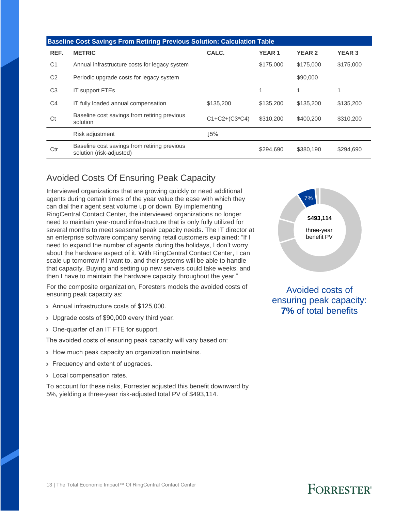| <b>Baseline Cost Savings From Retiring Previous Solution: Calculation Table</b> |                                                                          |                     |              |               |               |  |  |
|---------------------------------------------------------------------------------|--------------------------------------------------------------------------|---------------------|--------------|---------------|---------------|--|--|
| REF.                                                                            | <b>METRIC</b>                                                            | CALC.               | <b>YEAR1</b> | <b>YEAR 2</b> | <b>YEAR 3</b> |  |  |
| C <sub>1</sub>                                                                  | Annual infrastructure costs for legacy system                            |                     | \$175,000    | \$175,000     | \$175,000     |  |  |
| C <sub>2</sub>                                                                  | Periodic upgrade costs for legacy system                                 |                     |              | \$90,000      |               |  |  |
| C <sub>3</sub>                                                                  | <b>IT support FTEs</b>                                                   |                     |              | 1             |               |  |  |
| C <sub>4</sub>                                                                  | IT fully loaded annual compensation                                      | \$135,200           | \$135,200    | \$135,200     | \$135,200     |  |  |
| Ct                                                                              | Baseline cost savings from retiring previous<br>solution                 | $C1 + C2 + (C3*C4)$ | \$310,200    | \$400,200     | \$310,200     |  |  |
|                                                                                 | Risk adjustment                                                          | $\downarrow$ 5%     |              |               |               |  |  |
| Ctr                                                                             | Baseline cost savings from retiring previous<br>solution (risk-adjusted) |                     | \$294,690    | \$380,190     | \$294,690     |  |  |

### Avoided Costs Of Ensuring Peak Capacity

Interviewed organizations that are growing quickly or need additional agents during certain times of the year value the ease with which they can dial their agent seat volume up or down. By implementing RingCentral Contact Center, the interviewed organizations no longer need to maintain year-round infrastructure that is only fully utilized for several months to meet seasonal peak capacity needs. The IT director at an enterprise software company serving retail customers explained: "If I need to expand the number of agents during the holidays, I don't worry about the hardware aspect of it. With RingCentral Contact Center, I can scale up tomorrow if I want to, and their systems will be able to handle that capacity. Buying and setting up new servers could take weeks, and then I have to maintain the hardware capacity throughout the year."

For the composite organization, Foresters models the avoided costs of ensuring peak capacity as:

- › Annual infrastructure costs of \$125,000.
- › Upgrade costs of \$90,000 every third year.
- › One-quarter of an IT FTE for support.

The avoided costs of ensuring peak capacity will vary based on:

- › How much peak capacity an organization maintains.
- **> Frequency and extent of upgrades.**
- › Local compensation rates.

To account for these risks, Forrester adjusted this benefit downward by 5%, yielding a three-year risk-adjusted total PV of \$493,114.



Avoided costs of ensuring peak capacity: **7%** of total benefits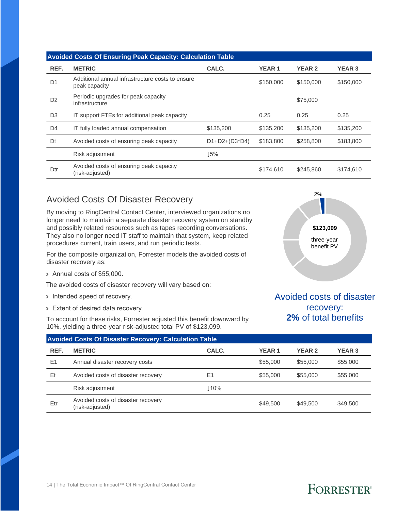| <b>Avoided Costs Of Ensuring Peak Capacity: Calculation Table</b> |                                                                   |                 |              |               |               |  |  |
|-------------------------------------------------------------------|-------------------------------------------------------------------|-----------------|--------------|---------------|---------------|--|--|
| REF.                                                              | <b>METRIC</b>                                                     | CALC.           | <b>YEAR1</b> | <b>YEAR 2</b> | <b>YEAR 3</b> |  |  |
| D <sub>1</sub>                                                    | Additional annual infrastructure costs to ensure<br>peak capacity |                 | \$150,000    | \$150,000     | \$150,000     |  |  |
| D <sub>2</sub>                                                    | Periodic upgrades for peak capacity<br>infrastructure             |                 |              | \$75,000      |               |  |  |
| D <sub>3</sub>                                                    | IT support FTEs for additional peak capacity                      |                 | 0.25         | 0.25          | 0.25          |  |  |
| D <sub>4</sub>                                                    | IT fully loaded annual compensation                               | \$135,200       | \$135,200    | \$135,200     | \$135,200     |  |  |
| Dt                                                                | Avoided costs of ensuring peak capacity                           | $D1+D2+(D3*D4)$ | \$183,800    | \$258,800     | \$183,800     |  |  |
|                                                                   | Risk adjustment                                                   | $\downarrow$ 5% |              |               |               |  |  |
| Dtr                                                               | Avoided costs of ensuring peak capacity<br>(risk-adjusted)        |                 | \$174,610    | \$245,860     | \$174,610     |  |  |

### Avoided Costs Of Disaster Recovery

By moving to RingCentral Contact Center, interviewed organizations no longer need to maintain a separate disaster recovery system on standby and possibly related resources such as tapes recording conversations. They also no longer need IT staff to maintain that system, keep related procedures current, train users, and run periodic tests.

For the composite organization, Forrester models the avoided costs of disaster recovery as:

› Annual costs of \$55,000.

The avoided costs of disaster recovery will vary based on:

- › Intended speed of recovery.
- › Extent of desired data recovery.

To account for these risks, Forrester adjusted this benefit downward by 10%, yielding a three-year risk-adjusted total PV of \$123,099.

2% three-year benefit PV **\$123,099**

### Avoided costs of disaster recovery: **2%** of total benefits

| <b>Avoided Costs Of Disaster Recovery: Calculation Table</b> |                                                       |                |              |               |               |  |  |
|--------------------------------------------------------------|-------------------------------------------------------|----------------|--------------|---------------|---------------|--|--|
| REF.                                                         | <b>METRIC</b>                                         | CALC.          | <b>YEAR1</b> | <b>YEAR 2</b> | <b>YEAR 3</b> |  |  |
| E1                                                           | Annual disaster recovery costs                        |                | \$55,000     | \$55,000      | \$55,000      |  |  |
| Et                                                           | Avoided costs of disaster recovery                    | E <sub>1</sub> | \$55,000     | \$55,000      | \$55,000      |  |  |
|                                                              | Risk adjustment                                       | 110%           |              |               |               |  |  |
| Etr                                                          | Avoided costs of disaster recovery<br>(risk-adjusted) |                | \$49,500     | \$49,500      | \$49,500      |  |  |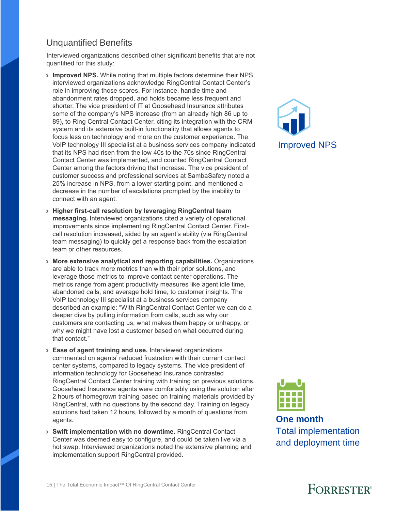### Unquantified Benefits

Interviewed organizations described other significant benefits that are not quantified for this study:

- › **Improved NPS.** While noting that multiple factors determine their NPS, interviewed organizations acknowledge RingCentral Contact Center's role in improving those scores. For instance, handle time and abandonment rates dropped, and holds became less frequent and shorter. The vice president of IT at Goosehead Insurance attributes some of the company's NPS increase (from an already high 86 up to 89), to Ring Central Contact Center, citing its integration with the CRM system and its extensive built-in functionality that allows agents to focus less on technology and more on the customer experience. The VoIP technology III specialist at a business services company indicated that its NPS had risen from the low 40s to the 70s since RingCentral Contact Center was implemented, and counted RingCentral Contact Center among the factors driving that increase. The vice president of customer success and professional services at SambaSafety noted a 25% increase in NPS, from a lower starting point, and mentioned a decrease in the number of escalations prompted by the inability to connect with an agent.
- › **Higher first-call resolution by leveraging RingCentral team messaging.** Interviewed organizations cited a variety of operational improvements since implementing RingCentral Contact Center. Firstcall resolution increased, aided by an agent's ability (via RingCentral team messaging) to quickly get a response back from the escalation team or other resources.
- › **More extensive analytical and reporting capabilities.** Organizations are able to track more metrics than with their prior solutions, and leverage those metrics to improve contact center operations. The metrics range from agent productivity measures like agent idle time, abandoned calls, and average hold time, to customer insights. The VoIP technology III specialist at a business services company described an example: "With RingCentral Contact Center we can do a deeper dive by pulling information from calls, such as why our customers are contacting us, what makes them happy or unhappy, or why we might have lost a customer based on what occurred during that contact."
- › **Ease of agent training and use.** Interviewed organizations commented on agents' reduced frustration with their current contact center systems, compared to legacy systems. The vice president of information technology for Goosehead Insurance contrasted RingCentral Contact Center training with training on previous solutions. Goosehead Insurance agents were comfortably using the solution after 2 hours of homegrown training based on training materials provided by RingCentral, with no questions by the second day. Training on legacy solutions had taken 12 hours, followed by a month of questions from agents.
- › **Swift implementation with no downtime.** RingCentral Contact Center was deemed easy to configure, and could be taken live via a hot swap. Interviewed organizations noted the extensive planning and implementation support RingCentral provided.





**One month** Total implementation and deployment time

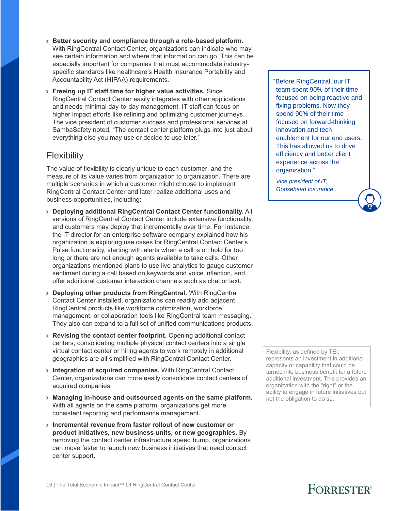- › **Better security and compliance through a role-based platform.** With RingCentral Contact Center, organizations can indicate who may see certain information and where that information can go. This can be especially important for companies that must accommodate industryspecific standards like healthcare's Health Insurance Portability and Accountability Act (HIPAA) requirements.
- › **Freeing up IT staff time for higher value activities.** Since RingCentral Contact Center easily integrates with other applications and needs minimal day-to-day management, IT staff can focus on higher impact efforts like refining and optimizing customer journeys. The vice president of customer success and professional services at SambaSafety noted, "The contact center platform plugs into just about everything else you may use or decide to use later."

### **Flexibility**

The value of flexibility is clearly unique to each customer, and the measure of its value varies from organization to organization. There are multiple scenarios in which a customer might choose to implement RingCentral Contact Center and later realize additional uses and business opportunities, including:

- › **Deploying additional RingCentral Contact Center functionality.** All versions of RingCentral Contact Center include extensive functionality, and customers may deploy that incrementally over time. For instance, the IT director for an enterprise software company explained how his organization is exploring use cases for RingCentral Contact Center's Pulse functionality, starting with alerts when a call is on hold for too long or there are not enough agents available to take calls. Other organizations mentioned plans to use live analytics to gauge customer sentiment during a call based on keywords and voice inflection, and offer additional customer interaction channels such as chat or text.
- › **Deploying other products from RingCentral.** With RingCentral Contact Center installed, organizations can readily add adjacent RingCentral products like workforce optimization, workforce management, or collaboration tools like RingCentral team messaging. They also can expand to a full set of unified communications products.
- › **Revising the contact center footprint.** Opening additional contact centers, consolidating multiple physical contact centers into a single virtual contact center or hiring agents to work remotely in additional geographies are all simplified with RingCentral Contact Center.
- › **Integration of acquired companies.** With RingCentral Contact Center, organizations can more easily consolidate contact centers of acquired companies.
- › **Managing in-house and outsourced agents on the same platform.**  With all agents on the same platform, organizations get more consistent reporting and performance management.
- › **Incremental revenue from faster rollout of new customer or product initiatives, new business units, or new geographies.** By removing the contact center infrastructure speed bump, organizations can move faster to launch new business initiatives that need contact center support.

"Before RingCentral, our IT team spent 90% of their time focused on being reactive and fixing problems. Now they spend 90% of their time focused on forward-thinking innovation and tech enablement for our end users. This has allowed us to drive efficiency and better client experience across the organization."

*Vice president of IT, Goosehead Insurance*

Flexibility, as defined by TEI, represents an investment in additional capacity or capability that could be turned into business benefit for a future additional investment. This provides an organization with the "right" or the ability to engage in future initiatives but not the obligation to do so.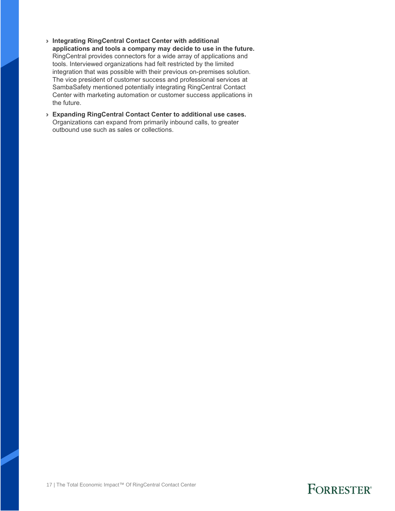- › **Integrating RingCentral Contact Center with additional applications and tools a company may decide to use in the future.** RingCentral provides connectors for a wide array of applications and tools. Interviewed organizations had felt restricted by the limited integration that was possible with their previous on-premises solution. The vice president of customer success and professional services at SambaSafety mentioned potentially integrating RingCentral Contact Center with marketing automation or customer success applications in the future.
- › **Expanding RingCentral Contact Center to additional use cases.** Organizations can expand from primarily inbound calls, to greater outbound use such as sales or collections.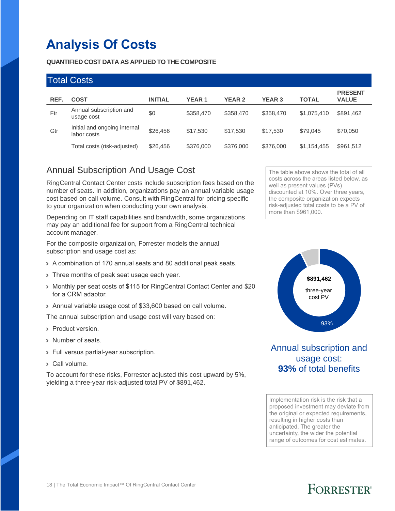## **Analysis Of Costs**

#### **QUANTIFIED COST DATA AS APPLIED TO THE COMPOSITE**

|      | <b>Total Costs</b>                          |                |              |               |               |              |                                |
|------|---------------------------------------------|----------------|--------------|---------------|---------------|--------------|--------------------------------|
| REF. | <b>COST</b>                                 | <b>INITIAL</b> | <b>YEAR1</b> | <b>YEAR 2</b> | <b>YEAR 3</b> | <b>TOTAL</b> | <b>PRESENT</b><br><b>VALUE</b> |
| Ftr  | Annual subscription and<br>usage cost       | \$0            | \$358,470    | \$358,470     | \$358,470     | \$1,075,410  | \$891,462                      |
| Gtr  | Initial and ongoing internal<br>labor costs | \$26,456       | \$17.530     | \$17,530      | \$17,530      | \$79,045     | \$70,050                       |
|      | Total costs (risk-adjusted)                 | \$26,456       | \$376,000    | \$376,000     | \$376,000     | \$1,154,455  | \$961,512                      |

### Annual Subscription And Usage Cost

RingCentral Contact Center costs include subscription fees based on the number of seats. In addition, organizations pay an annual variable usage cost based on call volume. Consult with RingCentral for pricing specific to your organization when conducting your own analysis.

Depending on IT staff capabilities and bandwidth, some organizations may pay an additional fee for support from a RingCentral technical account manager.

For the composite organization, Forrester models the annual subscription and usage cost as:

- › A combination of 170 annual seats and 80 additional peak seats.
- > Three months of peak seat usage each year.
- › Monthly per seat costs of \$115 for RingCentral Contact Center and \$20 for a CRM adaptor.
- › Annual variable usage cost of \$33,600 based on call volume.

The annual subscription and usage cost will vary based on:

- › Product version.
- › Number of seats.
- › Full versus partial-year subscription.
- › Call volume.

To account for these risks, Forrester adjusted this cost upward by 5%, yielding a three-year risk-adjusted total PV of \$891,462.

The table above shows the total of all costs across the areas listed below, as well as present values (PVs) discounted at 10%. Over three years, the composite organization expects risk-adjusted total costs to be a PV of more than \$961,000.



### Annual subscription and usage cost: **93%** of total benefits

Implementation risk is the risk that a proposed investment may deviate from the original or expected requirements, resulting in higher costs than anticipated. The greater the uncertainty, the wider the potential range of outcomes for cost estimates.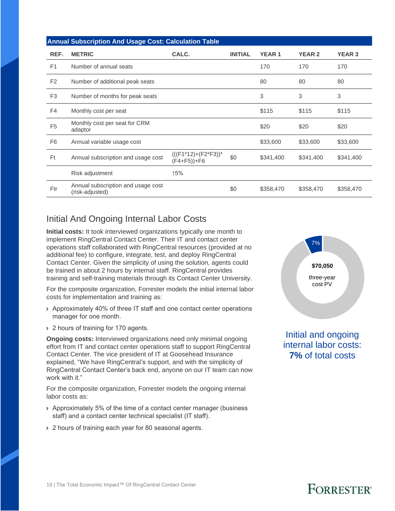|                | <b>Annual Subscription And Usage Cost: Calculation Table</b> |                                       |                |              |               |               |  |  |
|----------------|--------------------------------------------------------------|---------------------------------------|----------------|--------------|---------------|---------------|--|--|
| REF.           | <b>METRIC</b>                                                | CALC.                                 | <b>INITIAL</b> | <b>YEAR1</b> | <b>YEAR 2</b> | <b>YEAR 3</b> |  |  |
| F <sub>1</sub> | Number of annual seats                                       |                                       |                | 170          | 170           | 170           |  |  |
| F <sub>2</sub> | Number of additional peak seats                              |                                       |                | 80           | 80            | 80            |  |  |
| F <sub>3</sub> | Number of months for peak seats                              |                                       |                | 3            | 3             | 3             |  |  |
| F4             | Monthly cost per seat                                        |                                       |                | \$115        | \$115         | \$115         |  |  |
| F <sub>5</sub> | Monthly cost per seat for CRM<br>adaptor                     |                                       |                | \$20         | \$20          | \$20          |  |  |
| F <sub>6</sub> | Annual variable usage cost                                   |                                       |                | \$33,600     | \$33,600      | \$33,600      |  |  |
| Ft             | Annual subscription and usage cost                           | $(((F1*12)+(F2*F3))^*$<br>(F4+F5))+F6 | \$0            | \$341,400    | \$341,400     | \$341,400     |  |  |
|                | Risk adjustment                                              | ↑5%                                   |                |              |               |               |  |  |
| Ftr            | Annual subscription and usage cost<br>(risk-adjusted)        |                                       | \$0            | \$358,470    | \$358,470     | \$358,470     |  |  |

### Initial And Ongoing Internal Labor Costs

**Initial costs:** It took interviewed organizations typically one month to implement RingCentral Contact Center. Their IT and contact center operations staff collaborated with RingCentral resources (provided at no additional fee) to configure, integrate, test, and deploy RingCentral Contact Center. Given the simplicity of using the solution, agents could be trained in about 2 hours by internal staff. RingCentral provides training and self-training materials through its Contact Center University.

For the composite organization, Forrester models the initial internal labor costs for implementation and training as:

- › Approximately 40% of three IT staff and one contact center operations manager for one month.
- › 2 hours of training for 170 agents.

**Ongoing costs:** Interviewed organizations need only minimal ongoing effort from IT and contact center operations staff to support RingCentral Contact Center. The vice president of IT at Goosehead Insurance explained, "We have RingCentral's support, and with the simplicity of RingCentral Contact Center's back end, anyone on our IT team can now work with it."

For the composite organization, Forrester models the ongoing internal labor costs as:

- › Approximately 5% of the time of a contact center manager (business staff) and a contact center technical specialist (IT staff).
- › 2 hours of training each year for 80 seasonal agents.



Initial and ongoing internal labor costs: **7%** of total costs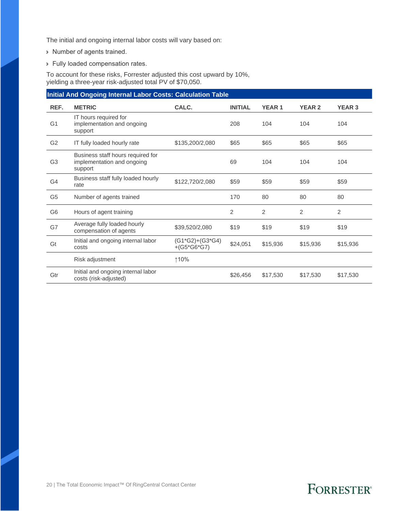The initial and ongoing internal labor costs will vary based on:

- › Number of agents trained.
- › Fully loaded compensation rates.

To account for these risks, Forrester adjusted this cost upward by 10%, yielding a three-year risk-adjusted total PV of \$70,050.

| Initial And Ongoing Internal Labor Costs: Calculation Table |                                                                            |                                    |                |              |                |               |  |  |
|-------------------------------------------------------------|----------------------------------------------------------------------------|------------------------------------|----------------|--------------|----------------|---------------|--|--|
| REF.                                                        | <b>METRIC</b>                                                              | CALC.                              | <b>INITIAL</b> | <b>YEAR1</b> | <b>YEAR 2</b>  | <b>YEAR 3</b> |  |  |
| G <sub>1</sub>                                              | IT hours required for<br>implementation and ongoing<br>support             |                                    | 208            | 104          | 104            | 104           |  |  |
| G <sub>2</sub>                                              | IT fully loaded hourly rate                                                | \$135,200/2,080                    | \$65           | \$65         | \$65           | \$65          |  |  |
| G <sub>3</sub>                                              | Business staff hours required for<br>implementation and ongoing<br>support |                                    | 69             | 104          | 104            | 104           |  |  |
| G <sub>4</sub>                                              | Business staff fully loaded hourly<br>rate                                 | \$122,720/2,080                    | \$59           | \$59         | \$59           | \$59          |  |  |
| G <sub>5</sub>                                              | Number of agents trained                                                   |                                    | 170            | 80           | 80             | 80            |  |  |
| G <sub>6</sub>                                              | Hours of agent training                                                    |                                    | 2              | 2            | $\overline{2}$ | 2             |  |  |
| G7                                                          | Average fully loaded hourly<br>compensation of agents                      | \$39,520/2,080                     | \$19           | \$19         | \$19           | \$19          |  |  |
| Gt                                                          | Initial and ongoing internal labor<br>costs                                | $(G1*G2)+(G3*G4)$<br>$+(G5*G6*G7)$ | \$24,051       | \$15,936     | \$15,936       | \$15,936      |  |  |
|                                                             | Risk adjustment                                                            | ↑10%                               |                |              |                |               |  |  |
| Gtr                                                         | Initial and ongoing internal labor<br>costs (risk-adjusted)                |                                    | \$26,456       | \$17,530     | \$17,530       | \$17,530      |  |  |

#### 20 | The Total Economic Impact™ Of RingCentral Contact Center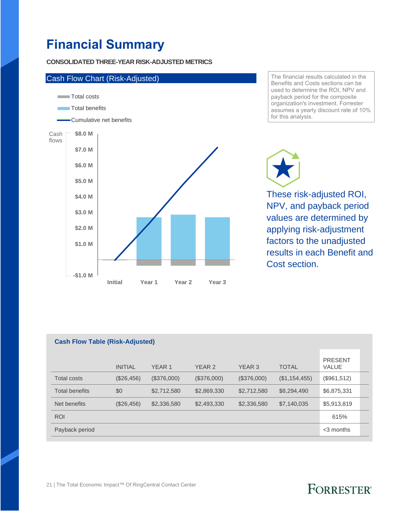## **Financial Summary**

#### **CONSOLIDATED THREE-YEAR RISK-ADJUSTED METRICS**



The financial results calculated in the Benefits and Costs sections can be used to determine the ROI, NPV and payback period for the composite organization's investment. Forrester assumes a yearly discount rate of 10% for this analysis.

These risk-adjusted ROI, NPV, and payback period values are determined by applying risk-adjustment factors to the unadjusted results in each Benefit and Cost section.

| <b>Cash Flow Table (Risk-Adjusted)</b> |                |                   |             |             |               |                         |  |  |
|----------------------------------------|----------------|-------------------|-------------|-------------|---------------|-------------------------|--|--|
|                                        | <b>INITIAL</b> | YEAR <sub>1</sub> | YEAR 2      | YEAR 3      | <b>TOTAL</b>  | <b>PRESENT</b><br>VALUE |  |  |
| Total costs                            | $(\$26,456)$   | (\$376,000)       | (\$376,000) | (\$376,000) | (\$1,154,455) | (\$961,512)             |  |  |
| <b>Total benefits</b>                  | \$0            | \$2,712,580       | \$2,869,330 | \$2,712,580 | \$8,294,490   | \$6,875,331             |  |  |
| Net benefits                           | (\$26,456)     | \$2,336,580       | \$2,493,330 | \$2,336,580 | \$7,140,035   | \$5,913,819             |  |  |
| <b>ROI</b>                             |                |                   |             |             |               | 615%                    |  |  |
| Payback period                         |                |                   |             |             |               | $<$ 3 months            |  |  |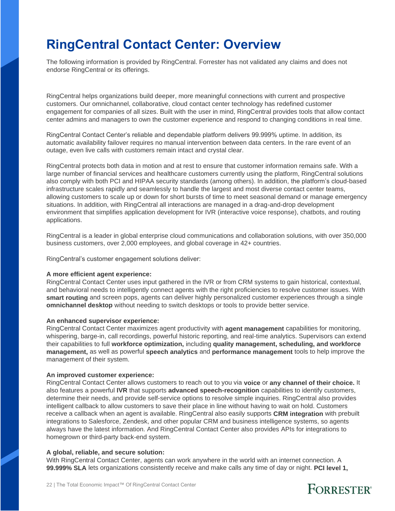## **RingCentral Contact Center: Overview**

The following information is provided by RingCentral. Forrester has not validated any claims and does not endorse RingCentral or its offerings.

RingCentral helps organizations build deeper, more meaningful connections with current and prospective customers. Our omnichannel, collaborative, cloud contact center technology has redefined customer engagement for companies of all sizes. Built with the user in mind, RingCentral provides tools that allow contact center admins and managers to own the customer experience and respond to changing conditions in real time.

RingCentral Contact Center's reliable and dependable platform delivers 99.999% uptime. In addition, its automatic availability failover requires no manual intervention between data centers. In the rare event of an outage, even live calls with customers remain intact and crystal clear.

RingCentral protects both data in motion and at rest to ensure that customer information remains safe. With a large number of financial services and healthcare customers currently using the platform, RingCentral solutions also comply with both PCI and HIPAA security standards (among others). In addition, the platform's cloud-based infrastructure scales rapidly and seamlessly to handle the largest and most diverse contact center teams, allowing customers to scale up or down for short bursts of time to meet seasonal demand or manage emergency situations. In addition, with RingCentral all interactions are managed in a drag-and-drop development environment that simplifies application development for IVR (interactive voice response), chatbots, and routing applications.

RingCentral is a leader in global enterprise cloud communications and collaboration solutions, with over 350,000 business customers, over 2,000 employees, and global coverage in 42+ countries.

RingCentral's customer engagement solutions deliver:

#### **A more efficient agent experience:**

RingCentral Contact Center uses input gathered in the IVR or from CRM systems to gain historical, contextual, and behavioral needs to intelligently connect agents with the right proficiencies to resolve customer issues. With **smart routing** and screen pops, agents can deliver highly personalized customer experiences through a single **omnichannel desktop** without needing to switch desktops or tools to provide better service.

#### **An enhanced supervisor experience:**

RingCentral Contact Center maximizes agent productivity with **agent management** capabilities for monitoring, whispering, barge-in, call recordings, powerful historic reporting, and real-time analytics. Supervisors can extend their capabilities to full **workforce optimization,** including **quality management, scheduling, and workforce management,** as well as powerful **speech analytics** and **performance management** tools to help improve the management of their system.

#### **An improved customer experience:**

RingCentral Contact Center allows customers to reach out to you via **voice** or **any channel of their choice.** It also features a powerful **IVR** that supports **advanced speech-recognition** capabilities to identify customers, determine their needs, and provide self-service options to resolve simple inquiries. RingCentral also provides intelligent callback to allow customers to save their place in line without having to wait on hold. Customers receive a callback when an agent is available. RingCentral also easily supports **CRM integration** with prebuilt integrations to Salesforce, Zendesk, and other popular CRM and business intelligence systems, so agents always have the latest information. And RingCentral Contact Center also provides APIs for integrations to homegrown or third-party back-end system.

#### **A global, reliable, and secure solution:**

With RingCentral Contact Center, agents can work anywhere in the world with an internet connection. A **99.999% SLA** lets organizations consistently receive and make calls any time of day or night. **PCI level 1,**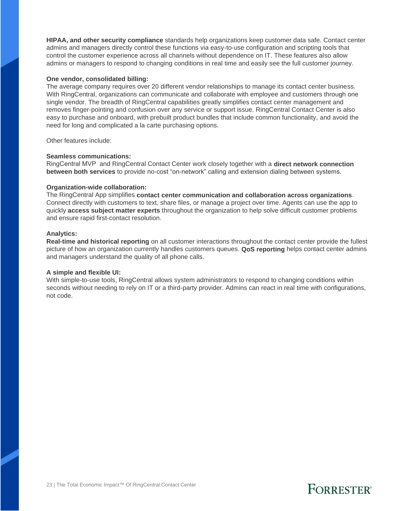**HIPAA, and other security compliance** standards help organizations keep customer data safe. Contact center admins and managers directly control these functions via easy-to-use configuration and scripting tools that control the customer experience across all channels without dependence on IT. These features also allow admins or managers to respond to changing conditions in real time and easily see the full customer journey.

#### **One vendor, consolidated billing:**

The average company requires over 20 different vendor relationships to manage its contact center business. With RingCentral, organizations can communicate and collaborate with employee and customers through one single vendor. The breadth of RingCentral capabilities greatly simplifies contact center management and removes finger-pointing and confusion over any service or support issue. RingCentral Contact Center is also easy to purchase and onboard, with prebuilt product bundles that include common functionality, and avoid the need for long and complicated a la carte purchasing options.

Other features include:

#### **Seamless communications:**

RingCentral MVP and RingCentral Contact Center work closely together with a **direct network connection between both services** to provide no-cost "on-network" calling and extension dialing between systems.

#### **Organization-wide collaboration:**

The RingCentral App simplifies **contact center communication and collaboration across organizations**. Connect directly with customers to text, share files, or manage a project over time. Agents can use the app to quickly **access subject matter experts** throughout the organization to help solve difficult customer problems and ensure rapid first-contact resolution.

#### **Analytics:**

**Real-time and historical reporting** on all customer interactions throughout the contact center provide the fullest picture of how an organization currently handles customers queues. **QoS reporting** helps contact center admins and managers understand the quality of all phone calls.

#### **A simple and flexible UI:**

With simple-to-use tools, RingCentral allows system administrators to respond to changing conditions within seconds without needing to rely on IT or a third-party provider. Admins can react in real time with configurations, not code.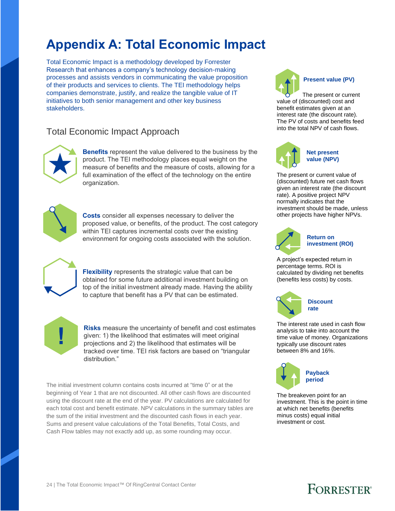## **Appendix A: Total Economic Impact**

Total Economic Impact is a methodology developed by Forrester Research that enhances a company's technology decision-making processes and assists vendors in communicating the value proposition of their products and services to clients. The TEI methodology helps companies demonstrate, justify, and realize the tangible value of IT initiatives to both senior management and other key business stakeholders.

### Total Economic Impact Approach



**Benefits** represent the value delivered to the business by the product. The TEI methodology places equal weight on the measure of benefits and the measure of costs, allowing for a full examination of the effect of the technology on the entire organization.



**Costs** consider all expenses necessary to deliver the proposed value, or benefits, of the product. The cost category within TEI captures incremental costs over the existing environment for ongoing costs associated with the solution.



**Flexibility** represents the strategic value that can be obtained for some future additional investment building on top of the initial investment already made. Having the ability to capture that benefit has a PV that can be estimated.



**Risks** measure the uncertainty of benefit and cost estimates given: 1) the likelihood that estimates will meet original projections and 2) the likelihood that estimates will be tracked over time. TEI risk factors are based on "triangular distribution."

The initial investment column contains costs incurred at "time 0" or at the beginning of Year 1 that are not discounted. All other cash flows are discounted using the discount rate at the end of the year. PV calculations are calculated for each total cost and benefit estimate. NPV calculations in the summary tables are the sum of the initial investment and the discounted cash flows in each year. Sums and present value calculations of the Total Benefits, Total Costs, and Cash Flow tables may not exactly add up, as some rounding may occur.

# **Present value (PV)**

The present or current value of (discounted) cost and benefit estimates given at an interest rate (the discount rate). The PV of costs and benefits feed into the total NPV of cash flows.



**Net present value (NPV)**

The present or current value of (discounted) future net cash flows given an interest rate (the discount rate). A positive project NPV normally indicates that the investment should be made, unless other projects have higher NPVs.



### **Return on investment (ROI)**

A project's expected return in percentage terms. ROI is calculated by dividing net benefits (benefits less costs) by costs.



The interest rate used in cash flow analysis to take into account the time value of money. Organizations typically use discount rates between 8% and 16%.



The breakeven point for an investment. This is the point in time at which net benefits (benefits minus costs) equal initial investment or cost.